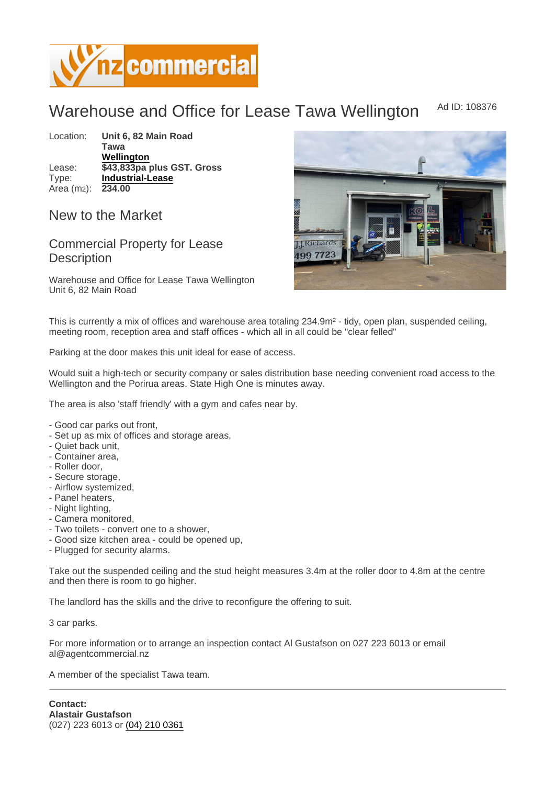## Warehouse and Office for Lease Tawa Wellington Ad ID: 108376

Location: Unit 6, 82 Main Road Tawa [Wellington](https://www.nzcommercial.co.nz/commercial-property/location/Wellington) Lease:  $\sqrt{343,833}$ pa plus GST. Gross Type: [Industrial-Lease](https://www.nzcommercial.co.nz/commercial-property/Industrial-Property-Lease/New-Zealand) Area (m2): 234.00

## New to the Market

## Commercial Property for Lease **Description**

Warehouse and Office for Lease Tawa Wellington Unit 6, 82 Main Road

This is currently a mix of offices and warehouse area totaling 234.9m² - tidy, open plan, suspended ceiling, meeting room, reception area and staff offices - which all in all could be "clear felled"

Parking at the door makes this unit ideal for ease of access.

Would suit a high-tech or security company or sales distribution base needing convenient road access to the Wellington and the Porirua areas. State High One is minutes away.

The area is also 'staff friendly' with a gym and cafes near by.

- Good car parks out front,
- Set up as mix of offices and storage areas,
- Quiet back unit,
- Container area,
- Roller door,
- Secure storage,
- Airflow systemized,
- Panel heaters,
- Night lighting,
- Camera monitored,
- Two toilets convert one to a shower,
- Good size kitchen area could be opened up,
- Plugged for security alarms.

Take out the suspended ceiling and the stud height measures 3.4m at the roller door to 4.8m at the centre and then there is room to go higher.

The landlord has the skills and the drive to reconfigure the offering to suit.

3 car parks.

For more information or to arrange an inspection contact Al Gustafson on 027 223 6013 or email al@agentcommercial.nz

A member of the specialist Tawa team.

Contact: Alastair Gustafson (027) 223 6013 or [\(04\) 210 0361](tel:(04) 210 0361)